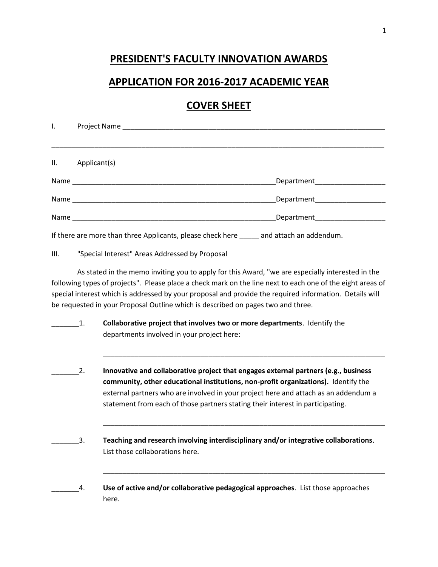## **PRESIDENT'S FACULTY INNOVATION AWARDS**

#### **APPLICATION FOR 2016-2017 ACADEMIC YEAR**

# **COVER SHEET**

| I.  |                                                                                           |                                 |
|-----|-------------------------------------------------------------------------------------------|---------------------------------|
|     |                                                                                           |                                 |
| II. | Applicant(s)                                                                              |                                 |
|     |                                                                                           | Department                      |
|     |                                                                                           | Department_____________________ |
|     |                                                                                           | Department____________________  |
|     | If there are more than three Applicants, please check here ______ and attach an addendum. |                                 |

#### III. "Special Interest" Areas Addressed by Proposal

As stated in the memo inviting you to apply for this Award, "we are especially interested in the following types of projects". Please place a check mark on the line next to each one of the eight areas of special interest which is addressed by your proposal and provide the required information. Details will be requested in your Proposal Outline which is described on pages two and three.

- $1.$  **Collaborative project that involves two or more departments**. Identify the departments involved in your project here:
- \_\_\_\_\_\_\_2. **Innovative and collaborative project that engages external partners (e.g., business community, other educational institutions, non-profit organizations).** Identify the external partners who are involved in your project here and attach as an addendum a statement from each of those partners stating their interest in participating.

\_\_\_\_\_\_\_\_\_\_\_\_\_\_\_\_\_\_\_\_\_\_\_\_\_\_\_\_\_\_\_\_\_\_\_\_\_\_\_\_\_\_\_\_\_\_\_\_\_\_\_\_\_\_\_\_\_\_\_\_\_\_\_\_\_\_\_\_\_\_\_\_

\_\_\_\_\_\_\_\_\_\_\_\_\_\_\_\_\_\_\_\_\_\_\_\_\_\_\_\_\_\_\_\_\_\_\_\_\_\_\_\_\_\_\_\_\_\_\_\_\_\_\_\_\_\_\_\_\_\_\_\_\_\_\_\_\_\_\_\_\_\_\_\_

\_\_\_\_\_\_\_\_\_\_\_\_\_\_\_\_\_\_\_\_\_\_\_\_\_\_\_\_\_\_\_\_\_\_\_\_\_\_\_\_\_\_\_\_\_\_\_\_\_\_\_\_\_\_\_\_\_\_\_\_\_\_\_\_\_\_\_\_\_\_\_\_

- \_\_\_\_\_\_\_3. **Teaching and research involving interdisciplinary and/or integrative collaborations**. List those collaborations here.
- \_\_\_\_\_\_\_4. **Use of active and/or collaborative pedagogical approaches**. List those approaches here.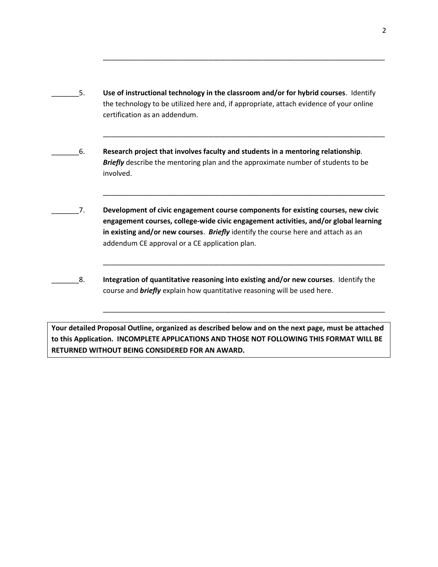\_\_\_\_\_\_\_5. **Use of instructional technology in the classroom and/or for hybrid courses**. Identify the technology to be utilized here and, if appropriate, attach evidence of your online certification as an addendum.

\_\_\_\_\_\_\_\_\_\_\_\_\_\_\_\_\_\_\_\_\_\_\_\_\_\_\_\_\_\_\_\_\_\_\_\_\_\_\_\_\_\_\_\_\_\_\_\_\_\_\_\_\_\_\_\_\_\_\_\_\_\_\_\_\_\_\_\_\_\_\_\_

\_\_\_\_\_\_\_\_\_\_\_\_\_\_\_\_\_\_\_\_\_\_\_\_\_\_\_\_\_\_\_\_\_\_\_\_\_\_\_\_\_\_\_\_\_\_\_\_\_\_\_\_\_\_\_\_\_\_\_\_\_\_\_\_\_\_\_\_\_\_\_\_

\_\_\_\_\_\_\_\_\_\_\_\_\_\_\_\_\_\_\_\_\_\_\_\_\_\_\_\_\_\_\_\_\_\_\_\_\_\_\_\_\_\_\_\_\_\_\_\_\_\_\_\_\_\_\_\_\_\_\_\_\_\_\_\_\_\_\_\_\_\_\_\_

\_\_\_\_\_\_\_\_\_\_\_\_\_\_\_\_\_\_\_\_\_\_\_\_\_\_\_\_\_\_\_\_\_\_\_\_\_\_\_\_\_\_\_\_\_\_\_\_\_\_\_\_\_\_\_\_\_\_\_\_\_\_\_\_\_\_\_\_\_\_\_\_

\_\_\_\_\_\_\_\_\_\_\_\_\_\_\_\_\_\_\_\_\_\_\_\_\_\_\_\_\_\_\_\_\_\_\_\_\_\_\_\_\_\_\_\_\_\_\_\_\_\_\_\_\_\_\_\_\_\_\_\_\_\_\_\_\_\_\_\_\_\_\_\_

\_\_\_\_\_\_\_6. **Research project that involves faculty and students in a mentoring relationship**. **Briefly** describe the mentoring plan and the approximate number of students to be involved.

- \_\_\_\_\_\_\_7. **Development of civic engagement course components for existing courses, new civic engagement courses, college-wide civic engagement activities, and/or global learning in existing and/or new courses**. *Briefly* identify the course here and attach as an addendum CE approval or a CE application plan.
- \_\_\_\_\_\_\_8. **Integration of quantitative reasoning into existing and/or new courses**. Identify the course and *briefly* explain how quantitative reasoning will be used here.

**Your detailed Proposal Outline, organized as described below and on the next page, must be attached to this Application. INCOMPLETE APPLICATIONS AND THOSE NOT FOLLOWING THIS FORMAT WILL BE RETURNED WITHOUT BEING CONSIDERED FOR AN AWARD.**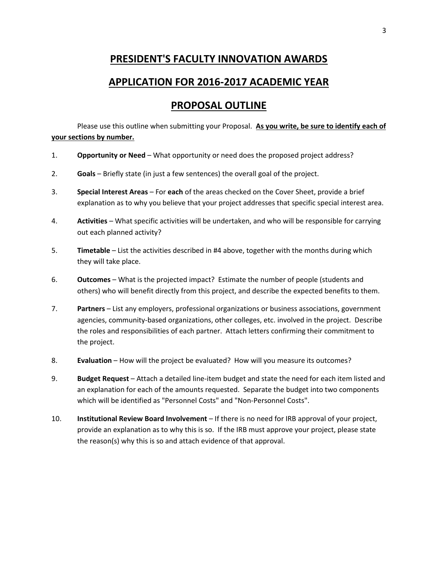## **PRESIDENT'S FACULTY INNOVATION AWARDS**

#### **APPLICATION FOR 2016-2017 ACADEMIC YEAR**

## **PROPOSAL OUTLINE**

Please use this outline when submitting your Proposal. **As you write, be sure to identify each of your sections by number.**

- 1. **Opportunity or Need** What opportunity or need does the proposed project address?
- 2. **Goals** Briefly state (in just a few sentences) the overall goal of the project.
- 3. **Special Interest Areas** For **each** of the areas checked on the Cover Sheet, provide a brief explanation as to why you believe that your project addresses that specific special interest area.
- 4. **Activities** What specific activities will be undertaken, and who will be responsible for carrying out each planned activity?
- 5. **Timetable** List the activities described in #4 above, together with the months during which they will take place.
- 6. **Outcomes** What is the projected impact? Estimate the number of people (students and others) who will benefit directly from this project, and describe the expected benefits to them.
- 7. **Partners** List any employers, professional organizations or business associations, government agencies, community-based organizations, other colleges, etc. involved in the project. Describe the roles and responsibilities of each partner. Attach letters confirming their commitment to the project.
- 8. **Evaluation** How will the project be evaluated? How will you measure its outcomes?
- 9. **Budget Request** Attach a detailed line-item budget and state the need for each item listed and an explanation for each of the amounts requested. Separate the budget into two components which will be identified as "Personnel Costs" and "Non-Personnel Costs".
- 10. **Institutional Review Board Involvement**  If there is no need for IRB approval of your project, provide an explanation as to why this is so. If the IRB must approve your project, please state the reason(s) why this is so and attach evidence of that approval.